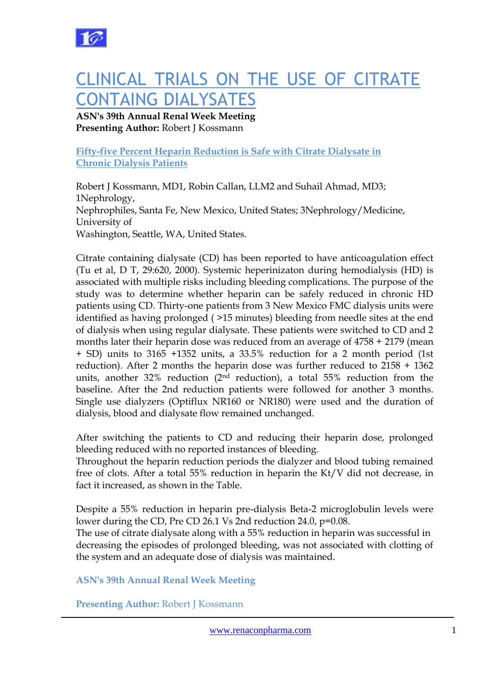

# CLINICAL TRIALS ON THE USE OF CITRATE CONTAING DIALYSATES

## **ASN's 39th Annual Renal Week Meeting Presenting Author:** Robert J Kossmann

### **Fifty-five Percent Heparin Reduction is Safe with Citrate Dialysate in Chronic Dialysis Patients**

Robert J Kossmann, MD1, Robin Callan, LLM2 and Suhail Ahmad, MD3; 1Nephrology, Nephrophiles, Santa Fe, New Mexico, United States; 3Nephrology/Medicine, University of Washington, Seattle, WA, United States.

Citrate containing dialysate (CD) has been reported to have anticoagulation effect (Tu et al, D T, 29:620, 2000). Systemic heperinizaton during hemodialysis (HD) is associated with multiple risks including bleeding complications. The purpose of the study was to determine whether heparin can be safely reduced in chronic HD patients using CD. Thirty-one patients from 3 New Mexico FMC dialysis units were identified as having prolonged ( >15 minutes) bleeding from needle sites at the end of dialysis when using regular dialysate. These patients were switched to CD and 2 months later their heparin dose was reduced from an average of 4758 + 2179 (mean + SD) units to 3165 +1352 units, a 33.5% reduction for a 2 month period (1st reduction). After 2 months the heparin dose was further reduced to 2158 + 1362 units, another 32% reduction ( $2<sup>nd</sup>$  reduction), a total 55% reduction from the baseline. After the 2nd reduction patients were followed for another 3 months. Single use dialyzers (Optiflux NR160 or NR180) were used and the duration of dialysis, blood and dialysate flow remained unchanged.

After switching the patients to CD and reducing their heparin dose, prolonged bleeding reduced with no reported instances of bleeding.

Throughout the heparin reduction periods the dialyzer and blood tubing remained free of clots. After a total 55% reduction in heparin the Kt/V did not decrease, in fact it increased, as shown in the Table.

Despite a 55% reduction in heparin pre-dialysis Beta-2 microglobulin levels were lower during the CD, Pre CD 26.1 Vs 2nd reduction 24.0, p=0.08.

The use of citrate dialysate along with a 55% reduction in heparin was successful in decreasing the episodes of prolonged bleeding, was not associated with clotting of the system and an adequate dose of dialysis was maintained.

**ASN's 39th Annual Renal Week Meeting**

**Presenting Author: Robert J Kossmann**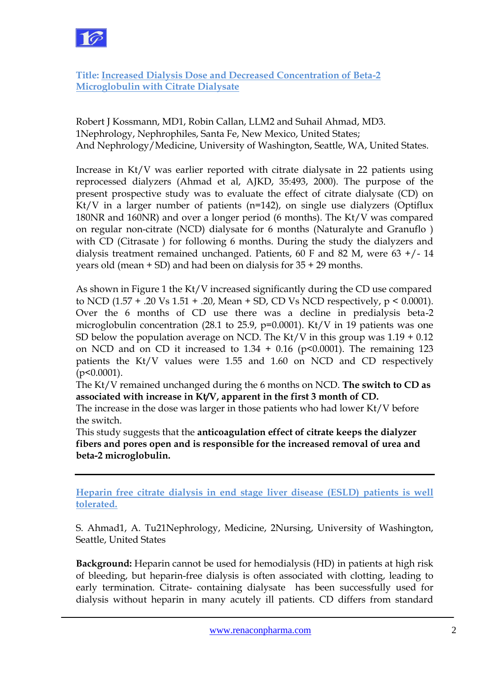

**Title: Increased Dialysis Dose and Decreased Concentration of Beta-2 Microglobulin with Citrate Dialysate**

Robert J Kossmann, MD1, Robin Callan, LLM2 and Suhail Ahmad, MD3. 1Nephrology, Nephrophiles, Santa Fe, New Mexico, United States; And Nephrology/Medicine, University of Washington, Seattle, WA, United States.

Increase in Kt/V was earlier reported with citrate dialysate in 22 patients using reprocessed dialyzers (Ahmad et al, AJKD, 35:493, 2000). The purpose of the present prospective study was to evaluate the effect of citrate dialysate (CD) on Kt/V in a larger number of patients (n=142), on single use dialyzers (Optiflux 180NR and 160NR) and over a longer period (6 months). The Kt/V was compared on regular non-citrate (NCD) dialysate for 6 months (Naturalyte and Granuflo ) with CD (Citrasate) for following 6 months. During the study the dialyzers and dialysis treatment remained unchanged. Patients, 60 F and 82 M, were  $63 + (-14)$ years old (mean + SD) and had been on dialysis for 35 + 29 months.

As shown in Figure 1 the Kt/V increased significantly during the CD use compared to NCD (1.57 + .20 Vs 1.51 + .20, Mean + SD, CD Vs NCD respectively, p < 0.0001). Over the 6 months of CD use there was a decline in predialysis beta-2 microglobulin concentration (28.1 to 25.9,  $p=0.0001$ ). Kt/V in 19 patients was one SD below the population average on NCD. The Kt/V in this group was  $1.19 + 0.12$ on NCD and on CD it increased to  $1.34 + 0.16$  (p<0.0001). The remaining 123 patients the Kt/V values were 1.55 and 1.60 on NCD and CD respectively  $(p<0.0001)$ .

The Kt/V remained unchanged during the 6 months on NCD. **The switch to CD as associated with increase in Kt/V, apparent in the first 3 month of CD.**

The increase in the dose was larger in those patients who had lower Kt/V before the switch.

This study suggests that the **anticoagulation effect of citrate keeps the dialyzer fibers and pores open and is responsible for the increased removal of urea and beta-2 microglobulin.**

**Heparin free citrate dialysis in end stage liver disease (ESLD) patients is well tolerated.**

S. Ahmad1, A. Tu21Nephrology, Medicine, 2Nursing, University of Washington, Seattle, United States

**Background:** Heparin cannot be used for hemodialysis (HD) in patients at high risk of bleeding, but heparin-free dialysis is often associated with clotting, leading to early termination. Citrate- containing dialysate has been successfully used for dialysis without heparin in many acutely ill patients. CD differs from standard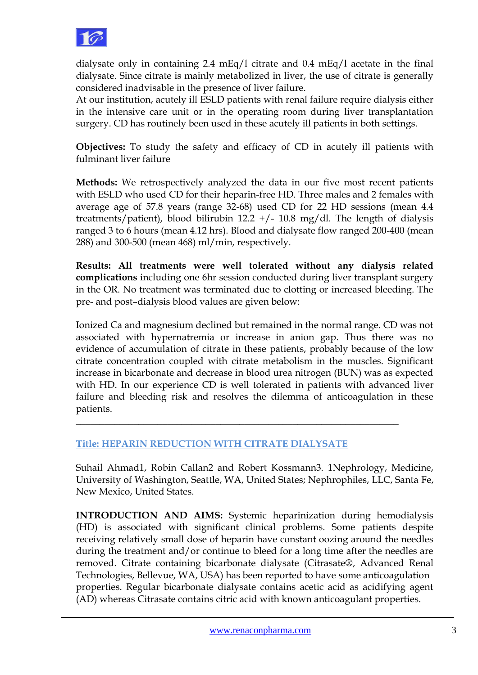

dialysate only in containing 2.4 mEq/l citrate and 0.4 mEq/l acetate in the final dialysate. Since citrate is mainly metabolized in liver, the use of citrate is generally considered inadvisable in the presence of liver failure.

At our institution, acutely ill ESLD patients with renal failure require dialysis either in the intensive care unit or in the operating room during liver transplantation surgery. CD has routinely been used in these acutely ill patients in both settings.

**Objectives:** To study the safety and efficacy of CD in acutely ill patients with fulminant liver failure

**Methods:** We retrospectively analyzed the data in our five most recent patients with ESLD who used CD for their heparin-free HD. Three males and 2 females with average age of 57.8 years (range 32-68) used CD for 22 HD sessions (mean 4.4 treatments/patient), blood bilirubin 12.2  $+/-$  10.8 mg/dl. The length of dialysis ranged 3 to 6 hours (mean 4.12 hrs). Blood and dialysate flow ranged 200-400 (mean 288) and 300-500 (mean 468) ml/min, respectively.

**Results: All treatments were well tolerated without any dialysis related complications** including one 6hr session conducted during liver transplant surgery in the OR. No treatment was terminated due to clotting or increased bleeding. The pre- and post–dialysis blood values are given below:

Ionized Ca and magnesium declined but remained in the normal range. CD was not associated with hypernatremia or increase in anion gap. Thus there was no evidence of accumulation of citrate in these patients, probably because of the low citrate concentration coupled with citrate metabolism in the muscles. Significant increase in bicarbonate and decrease in blood urea nitrogen (BUN) was as expected with HD. In our experience CD is well tolerated in patients with advanced liver failure and bleeding risk and resolves the dilemma of anticoagulation in these patients.

## **Title: HEPARIN REDUCTION WITH CITRATE DIALYSATE**

\_\_\_\_\_\_\_\_\_\_\_\_\_\_\_\_\_\_\_\_\_\_\_\_\_\_\_\_\_\_\_\_\_\_\_\_\_\_\_\_\_\_\_\_\_\_\_\_\_\_\_\_\_\_\_\_\_\_\_\_\_\_\_\_\_\_\_

Suhail Ahmad1, Robin Callan2 and Robert Kossmann3. 1Nephrology, Medicine, University of Washington, Seattle, WA, United States; Nephrophiles, LLC, Santa Fe, New Mexico, United States.

**INTRODUCTION AND AIMS:** Systemic heparinization during hemodialysis (HD) is associated with significant clinical problems. Some patients despite receiving relatively small dose of heparin have constant oozing around the needles during the treatment and/or continue to bleed for a long time after the needles are removed. Citrate containing bicarbonate dialysate (Citrasate®, Advanced Renal Technologies, Bellevue, WA, USA) has been reported to have some anticoagulation properties. Regular bicarbonate dialysate contains acetic acid as acidifying agent (AD) whereas Citrasate contains citric acid with known anticoagulant properties.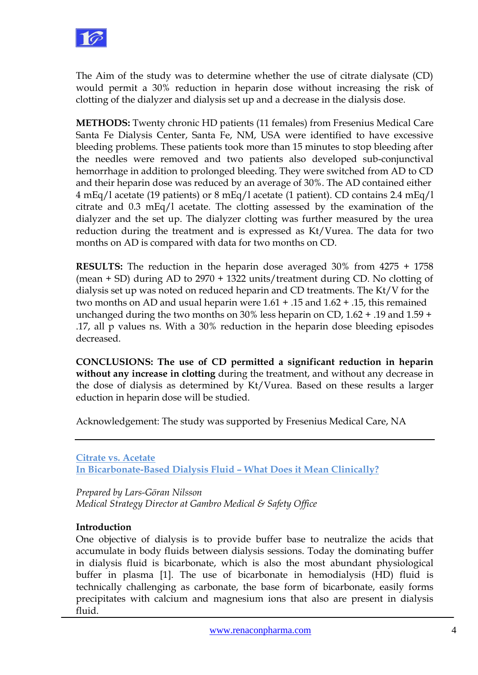

The Aim of the study was to determine whether the use of citrate dialysate (CD) would permit a 30% reduction in heparin dose without increasing the risk of clotting of the dialyzer and dialysis set up and a decrease in the dialysis dose.

**METHODS:** Twenty chronic HD patients (11 females) from Fresenius Medical Care Santa Fe Dialysis Center, Santa Fe, NM, USA were identified to have excessive bleeding problems. These patients took more than 15 minutes to stop bleeding after the needles were removed and two patients also developed sub-conjunctival hemorrhage in addition to prolonged bleeding. They were switched from AD to CD and their heparin dose was reduced by an average of 30%. The AD contained either 4 mEq/l acetate (19 patients) or 8 mEq/l acetate (1 patient). CD contains 2.4 mEq/l citrate and 0.3 mEq/l acetate. The clotting assessed by the examination of the dialyzer and the set up. The dialyzer clotting was further measured by the urea reduction during the treatment and is expressed as Kt/Vurea. The data for two months on AD is compared with data for two months on CD.

**RESULTS:** The reduction in the heparin dose averaged 30% from 4275 + 1758 (mean + SD) during AD to 2970 + 1322 units/treatment during CD. No clotting of dialysis set up was noted on reduced heparin and CD treatments. The Kt/V for the two months on AD and usual heparin were 1.61 + .15 and 1.62 + .15, this remained unchanged during the two months on 30% less heparin on CD, 1.62 + .19 and 1.59 + .17, all p values ns. With a 30% reduction in the heparin dose bleeding episodes decreased.

**CONCLUSIONS: The use of CD permitted a significant reduction in heparin without any increase in clotting** during the treatment, and without any decrease in the dose of dialysis as determined by Kt/Vurea. Based on these results a larger eduction in heparin dose will be studied.

Acknowledgement: The study was supported by Fresenius Medical Care, NA

**Citrate vs. Acetate In Bicarbonate-Based Dialysis Fluid – What Does it Mean Clinically?**

*Prepared by Lars-Göran Nilsson Medical Strategy Director at Gambro Medical & Safety Office*

## **Introduction**

One objective of dialysis is to provide buffer base to neutralize the acids that accumulate in body fluids between dialysis sessions. Today the dominating buffer in dialysis fluid is bicarbonate, which is also the most abundant physiological buffer in plasma [1]. The use of bicarbonate in hemodialysis (HD) fluid is technically challenging as carbonate, the base form of bicarbonate, easily forms precipitates with calcium and magnesium ions that also are present in dialysis fluid.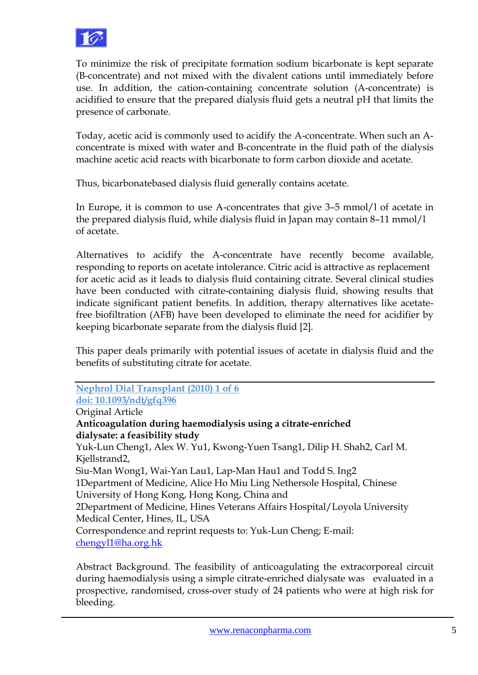

To minimize the risk of precipitate formation sodium bicarbonate is kept separate (B-concentrate) and not mixed with the divalent cations until immediately before use. In addition, the cation-containing concentrate solution (A-concentrate) is acidified to ensure that the prepared dialysis fluid gets a neutral pH that limits the presence of carbonate.

Today, acetic acid is commonly used to acidify the A-concentrate. When such an Aconcentrate is mixed with water and B-concentrate in the fluid path of the dialysis machine acetic acid reacts with bicarbonate to form carbon dioxide and acetate.

Thus, bicarbonatebased dialysis fluid generally contains acetate.

In Europe, it is common to use A-concentrates that give 3–5 mmol/l of acetate in the prepared dialysis fluid, while dialysis fluid in Japan may contain 8–11 mmol/l of acetate.

Alternatives to acidify the A-concentrate have recently become available, responding to reports on acetate intolerance. Citric acid is attractive as replacement for acetic acid as it leads to dialysis fluid containing citrate. Several clinical studies have been conducted with citrate-containing dialysis fluid, showing results that indicate significant patient benefits. In addition, therapy alternatives like acetatefree biofiltration (AFB) have been developed to eliminate the need for acidifier by keeping bicarbonate separate from the dialysis fluid [2].

This paper deals primarily with potential issues of acetate in dialysis fluid and the benefits of substituting citrate for acetate.

**Nephrol Dial Transplant (2010) 1 of 6 doi: 10.1093/ndt/gfq396** Original Article **Anticoagulation during haemodialysis using a citrate-enriched dialysate: a feasibility study** Yuk-Lun Cheng1, Alex W. Yu1, Kwong-Yuen Tsang1, Dilip H. Shah2, Carl M. Kjellstrand2, Siu-Man Wong1, Wai-Yan Lau1, Lap-Man Hau1 and Todd S. Ing2 1Department of Medicine, Alice Ho Miu Ling Nethersole Hospital, Chinese University of Hong Kong, Hong Kong, China and 2Department of Medicine, Hines Veterans Affairs Hospital/Loyola University Medical Center, Hines, IL, USA Correspondence and reprint requests to: Yuk-Lun Cheng; E-mail: [chengyl1@ha.org.hk](mailto:chengyl1@ha.org.hk)

Abstract Background. The feasibility of anticoagulating the extracorporeal circuit during haemodialysis using a simple citrate-enriched dialysate was evaluated in a prospective, randomised, cross-over study of 24 patients who were at high risk for bleeding.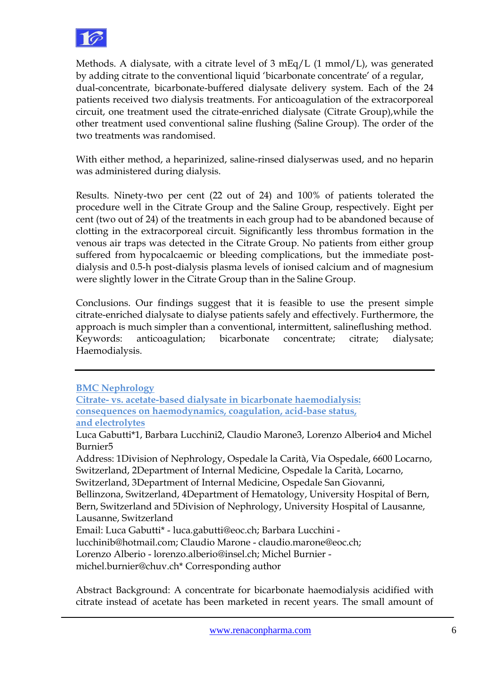

Methods. A dialysate, with a citrate level of 3 mEq/L (1 mmol/L), was generated by adding citrate to the conventional liquid 'bicarbonate concentrate' of a regular, dual-concentrate, bicarbonate-buffered dialysate delivery system. Each of the 24 patients received two dialysis treatments. For anticoagulation of the extracorporeal circuit, one treatment used the citrate-enriched dialysate (Citrate Group),while the other treatment used conventional saline flushing (Saline Group). The order of the two treatments was randomised.

With either method, a heparinized, saline-rinsed dialyserwas used, and no heparin was administered during dialysis.

Results. Ninety-two per cent (22 out of 24) and 100% of patients tolerated the procedure well in the Citrate Group and the Saline Group, respectively. Eight per cent (two out of 24) of the treatments in each group had to be abandoned because of clotting in the extracorporeal circuit. Significantly less thrombus formation in the venous air traps was detected in the Citrate Group. No patients from either group suffered from hypocalcaemic or bleeding complications, but the immediate postdialysis and 0.5-h post-dialysis plasma levels of ionised calcium and of magnesium were slightly lower in the Citrate Group than in the Saline Group.

Conclusions. Our findings suggest that it is feasible to use the present simple citrate-enriched dialysate to dialyse patients safely and effectively. Furthermore, the approach is much simpler than a conventional, intermittent, salineflushing method. Keywords: anticoagulation; bicarbonate concentrate; citrate; dialysate; Haemodialysis.

Bellinzona, Switzerland, 4Department of Hematology, University Hospital of Bern, Bern, Switzerland and 5Division of Nephrology, University Hospital of Lausanne, Lausanne, Switzerland

Lorenzo Alberio - lorenzo.alberio@insel.ch; Michel Burnier -

michel.burnier@chuv.ch\* Corresponding author

Abstract Background: A concentrate for bicarbonate haemodialysis acidified with citrate instead of acetate has been marketed in recent years. The small amount of

**BMC Nephrology**

**Citrate- vs. acetate-based dialysate in bicarbonate haemodialysis: consequences on haemodynamics, coagulation, acid-base status,**

**and electrolytes**

Luca Gabutti\*1, Barbara Lucchini2, Claudio Marone3, Lorenzo Alberio4 and Michel Burnier5

Address: 1Division of Nephrology, Ospedale la Carità, Via Ospedale, 6600 Locarno, Switzerland, 2Department of Internal Medicine, Ospedale la Carità, Locarno, Switzerland, 3Department of Internal Medicine, Ospedale San Giovanni,

Email: Luca Gabutti\* - luca.gabutti@eoc.ch; Barbara Lucchini -

lucchinib@hotmail.com; Claudio Marone - claudio.marone@eoc.ch;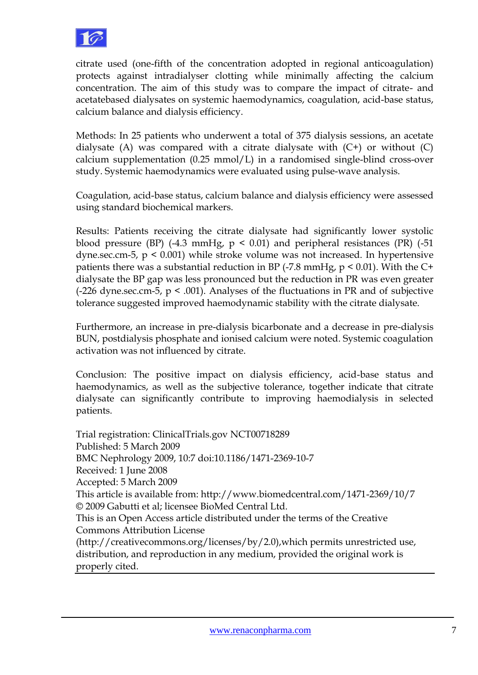

citrate used (one-fifth of the concentration adopted in regional anticoagulation) protects against intradialyser clotting while minimally affecting the calcium concentration. The aim of this study was to compare the impact of citrate- and acetatebased dialysates on systemic haemodynamics, coagulation, acid-base status, calcium balance and dialysis efficiency.

Methods: In 25 patients who underwent a total of 375 dialysis sessions, an acetate dialysate (A) was compared with a citrate dialysate with  $(C<sup>+</sup>)$  or without  $(C)$ calcium supplementation  $(0.25 \text{ mmol/L})$  in a randomised single-blind cross-over study. Systemic haemodynamics were evaluated using pulse-wave analysis.

Coagulation, acid-base status, calcium balance and dialysis efficiency were assessed using standard biochemical markers.

Results: Patients receiving the citrate dialysate had significantly lower systolic blood pressure (BP)  $(-4.3 \text{ mmHg}, p \le 0.01)$  and peripheral resistances (PR)  $(-51$ dyne.sec.cm-5,  $p \leq 0.001$ ) while stroke volume was not increased. In hypertensive patients there was a substantial reduction in BP  $(-7.8 \text{ mmHg}, p \le 0.01)$ . With the C+ dialysate the BP gap was less pronounced but the reduction in PR was even greater  $(-226 \text{ dyne} \cdot \text{sec} \cdot \text{cm} - 5, \, \text{p} \leq 0.001)$ . Analyses of the fluctuations in PR and of subjective tolerance suggested improved haemodynamic stability with the citrate dialysate.

Furthermore, an increase in pre-dialysis bicarbonate and a decrease in pre-dialysis BUN, postdialysis phosphate and ionised calcium were noted. Systemic coagulation activation was not influenced by citrate.

Conclusion: The positive impact on dialysis efficiency, acid-base status and haemodynamics, as well as the subjective tolerance, together indicate that citrate dialysate can significantly contribute to improving haemodialysis in selected patients.

Trial registration: ClinicalTrials.gov NCT00718289 Published: 5 March 2009 BMC Nephrology 2009, 10:7 doi:10.1186/1471-2369-10-7 Received: 1 June 2008 Accepted: 5 March 2009 This article is available from: http://www.biomedcentral.com/1471-2369/10/7 © 2009 Gabutti et al; licensee BioMed Central Ltd. This is an Open Access article distributed under the terms of the Creative Commons Attribution License (http://creativecommons.org/licenses/by/2.0),which permits unrestricted use, distribution, and reproduction in any medium, provided the original work is properly cited.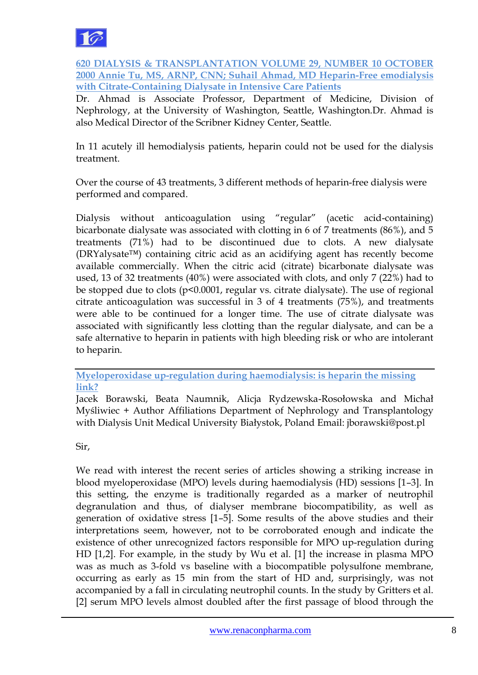

**620 DIALYSIS & TRANSPLANTATION VOLUME 29, NUMBER 10 OCTOBER 2000 Annie Tu, MS, ARNP, CNN; Suhail Ahmad, MD Heparin-Free emodialysis with Citrate-Containing Dialysate in Intensive Care Patients**

Dr. Ahmad is Associate Professor, Department of Medicine, Division of Nephrology, at the University of Washington, Seattle, Washington.Dr. Ahmad is also Medical Director of the Scribner Kidney Center, Seattle.

In 11 acutely ill hemodialysis patients, heparin could not be used for the dialysis treatment.

Over the course of 43 treatments, 3 different methods of heparin-free dialysis were performed and compared.

Dialysis without anticoagulation using "regular" (acetic acid-containing) bicarbonate dialysate was associated with clotting in 6 of 7 treatments (86%), and 5 treatments (71%) had to be discontinued due to clots. A new dialysate (DRYalysate™) containing citric acid as an acidifying agent has recently become available commercially. When the citric acid (citrate) bicarbonate dialysate was used, 13 of 32 treatments (40%) were associated with clots, and only 7 (22%) had to be stopped due to clots (p<0.0001, regular vs. citrate dialysate). The use of regional citrate anticoagulation was successful in 3 of 4 treatments (75%), and treatments were able to be continued for a longer time. The use of citrate dialysate was associated with significantly less clotting than the regular dialysate, and can be a safe alternative to heparin in patients with high bleeding risk or who are intolerant to heparin.

**Myeloperoxidase up-regulation during haemodialysis: is heparin the missing link?**

Jacek Borawski, Beata Naumnik, Alicja Rydzewska-Rosołowska and Michał Myśliwiec + Author Affiliations Department of Nephrology and Transplantology with Dialysis Unit Medical University Białystok, Poland Email: jborawski@post.pl

Sir,

We read with interest the recent series of articles showing a striking increase in blood myeloperoxidase (MPO) levels during haemodialysis (HD) sessions [1–3]. In this setting, the enzyme is traditionally regarded as a marker of neutrophil degranulation and thus, of dialyser membrane biocompatibility, as well as generation of oxidative stress [1–5]. Some results of the above studies and their interpretations seem, however, not to be corroborated enough and indicate the existence of other unrecognized factors responsible for MPO up-regulation during HD [1,2]. For example, in the study by Wu et al. [1] the increase in plasma MPO was as much as 3-fold vs baseline with a biocompatible polysulfone membrane, occurring as early as 15 min from the start of HD and, surprisingly, was not accompanied by a fall in circulating neutrophil counts. In the study by Gritters et al. [2] serum MPO levels almost doubled after the first passage of blood through the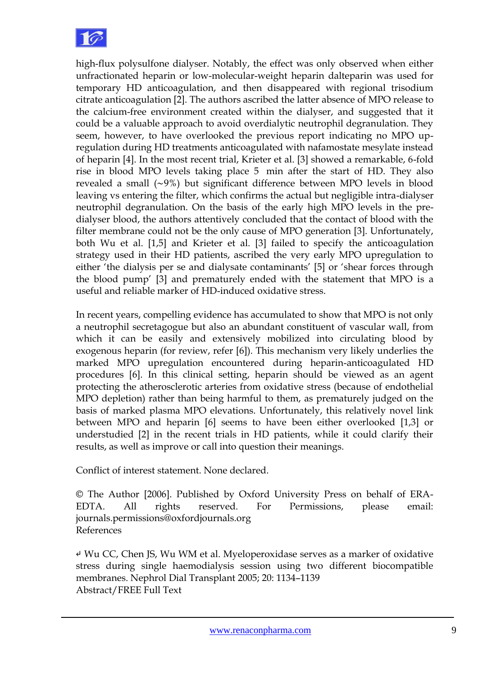

high-flux polysulfone dialyser. Notably, the effect was only observed when either unfractionated heparin or low-molecular-weight heparin dalteparin was used for temporary HD anticoagulation, and then disappeared with regional trisodium citrate anticoagulation [2]. The authors ascribed the latter absence of MPO release to the calcium-free environment created within the dialyser, and suggested that it could be a valuable approach to avoid overdialytic neutrophil degranulation. They seem, however, to have overlooked the previous report indicating no MPO upregulation during HD treatments anticoagulated with nafamostate mesylate instead of heparin [4]. In the most recent trial, Krieter et al. [3] showed a remarkable, 6-fold rise in blood MPO levels taking place 5 min after the start of HD. They also revealed a small (∼9%) but significant difference between MPO levels in blood leaving vs entering the filter, which confirms the actual but negligible intra-dialyser neutrophil degranulation. On the basis of the early high MPO levels in the predialyser blood, the authors attentively concluded that the contact of blood with the filter membrane could not be the only cause of MPO generation [3]. Unfortunately, both Wu et al. [1,5] and Krieter et al. [3] failed to specify the anticoagulation strategy used in their HD patients, ascribed the very early MPO upregulation to either 'the dialysis per se and dialysate contaminants' [5] or 'shear forces through the blood pump" [3] and prematurely ended with the statement that MPO is a useful and reliable marker of HD-induced oxidative stress.

In recent years, compelling evidence has accumulated to show that MPO is not only a neutrophil secretagogue but also an abundant constituent of vascular wall, from which it can be easily and extensively mobilized into circulating blood by exogenous heparin (for review, refer [6]). This mechanism very likely underlies the marked MPO upregulation encountered during heparin-anticoagulated HD procedures [6]. In this clinical setting, heparin should be viewed as an agent protecting the atherosclerotic arteries from oxidative stress (because of endothelial MPO depletion) rather than being harmful to them, as prematurely judged on the basis of marked plasma MPO elevations. Unfortunately, this relatively novel link between MPO and heparin [6] seems to have been either overlooked [1,3] or understudied [2] in the recent trials in HD patients, while it could clarify their results, as well as improve or call into question their meanings.

Conflict of interest statement. None declared.

© The Author [2006]. Published by Oxford University Press on behalf of ERA-EDTA. All rights reserved. For Permissions, please email: journals.permissions@oxfordjournals.org References

↵ Wu CC, Chen JS, Wu WM et al. Myeloperoxidase serves as a marker of oxidative stress during single haemodialysis session using two different biocompatible membranes. Nephrol Dial Transplant 2005; 20: 1134–1139 Abstract/FREE Full Text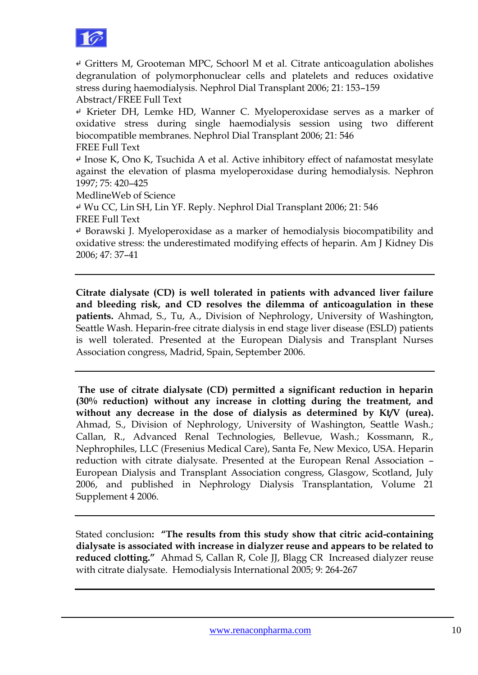

↵ Gritters M, Grooteman MPC, Schoorl M et al. Citrate anticoagulation abolishes degranulation of polymorphonuclear cells and platelets and reduces oxidative stress during haemodialysis. Nephrol Dial Transplant 2006; 21: 153–159 Abstract/FREE Full Text

↵ Krieter DH, Lemke HD, Wanner C. Myeloperoxidase serves as a marker of oxidative stress during single haemodialysis session using two different biocompatible membranes. Nephrol Dial Transplant 2006; 21: 546 FREE Full Text

↵ Inose K, Ono K, Tsuchida A et al. Active inhibitory effect of nafamostat mesylate against the elevation of plasma myeloperoxidase during hemodialysis. Nephron 1997; 75: 420–425

MedlineWeb of Science

↵ Wu CC, Lin SH, Lin YF. Reply. Nephrol Dial Transplant 2006; 21: 546 FREE Full Text

↵ Borawski J. Myeloperoxidase as a marker of hemodialysis biocompatibility and oxidative stress: the underestimated modifying effects of heparin. Am J Kidney Dis 2006; 47: 37–41

**Citrate dialysate (CD) is well tolerated in patients with advanced liver failure and bleeding risk, and CD resolves the dilemma of anticoagulation in these patients.** Ahmad, S., Tu, A., Division of Nephrology, University of Washington, Seattle Wash. Heparin-free citrate dialysis in end stage liver disease (ESLD) patients is well tolerated. Presented at the European Dialysis and Transplant Nurses Association congress, Madrid, Spain, September 2006.

**The use of citrate dialysate (CD) permitted a significant reduction in heparin (30% reduction) without any increase in clotting during the treatment, and without any decrease in the dose of dialysis as determined by Kt/V (urea).** Ahmad, S., Division of Nephrology, University of Washington, Seattle Wash.; Callan, R., Advanced Renal Technologies, Bellevue, Wash.; Kossmann, R., Nephrophiles, LLC (Fresenius Medical Care), Santa Fe, New Mexico, USA. Heparin reduction with citrate dialysate. Presented at the European Renal Association – European Dialysis and Transplant Association congress, Glasgow, Scotland, July 2006, and published in Nephrology Dialysis Transplantation, Volume 21 Supplement 4 2006.

Stated conclusion**: "The results from this study show that citric acid-containing dialysate is associated with increase in dialyzer reuse and appears to be related to reduced clotting."** Ahmad S, Callan R, Cole JJ, Blagg CR Increased dialyzer reuse with citrate dialysate. Hemodialysis International 2005; 9: 264-267